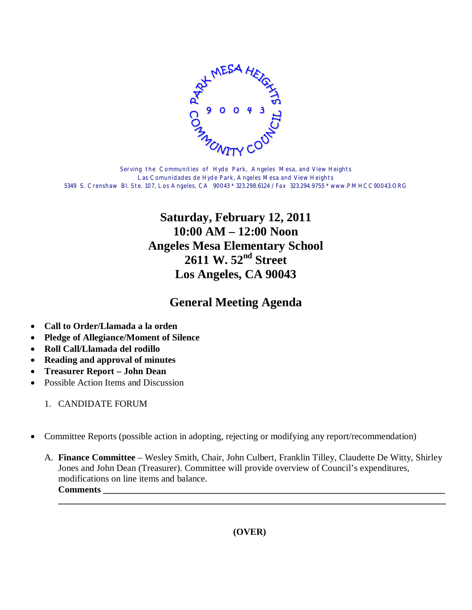

Serving the Communities of Hyde Park, Angeles Mesa, and View Heights Las Comunidades de Hyde Park, Angeles Mesa and View Heights 5349 S. Crenshaw Bl. Ste. 107, Los Angeles, CA 90043 \* 323.298.6124 / Fax 323.294.9755 \* www.PMHCC90043.ORG

## **Saturday, February 12, 2011 10:00 AM – 12:00 Noon Angeles Mesa Elementary School 2611 W. 52nd Street Los Angeles, CA 90043**

## **General Meeting Agenda**

- **Call to Order/Llamada a la orden**
- **Pledge of Allegiance/Moment of Silence**
- **Roll Call/Llamada del rodillo**
- **Reading and approval of minutes**
- **Treasurer Report John Dean**
- Possible Action Items and Discussion
	- 1. CANDIDATE FORUM
- Committee Reports (possible action in adopting, rejecting or modifying any report/recommendation)
	- A. **Finance Committee** Wesley Smith, Chair, John Culbert, Franklin Tilley, Claudette De Witty, Shirley Jones and John Dean (Treasurer). Committee will provide overview of Council's expenditures, modifications on line items and balance.  $$

**\_\_\_\_\_\_\_\_\_\_\_\_\_\_\_\_\_\_\_\_\_\_\_\_\_\_\_\_\_\_\_\_\_\_\_\_\_\_\_\_\_\_\_\_\_\_\_\_\_\_\_\_\_\_\_\_\_\_\_\_\_\_\_\_\_\_\_\_\_\_\_\_\_\_\_\_\_\_\_\_\_\_\_\_**